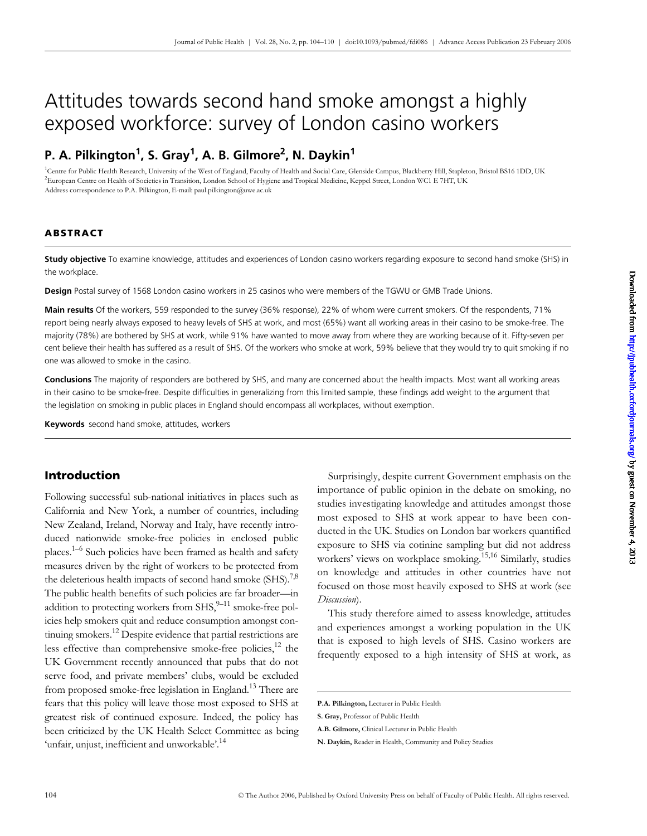# Attitudes towards second hand smoke amongst a highly exposed workforce: survey of London casino workers

## P. A. Pilkington<sup>1</sup>, S. Gray<sup>1</sup>, A. B. Gilmore<sup>2</sup>, N. Daykin<sup>1</sup>

<sup>1</sup>Centre for Public Health Research, University of the West of England, Faculty of Health and Social Care, Glenside Campus, Blackberry Hill, Stapleton, Bristol BS16 1DD, UK 2 European Centre on Health of Societies in Transition, London School of Hygiene and Tropical Medicine, Keppel Street, London WC1 E 7HT, UK Address correspondence to P.A. Pilkington, E-mail: paul.[pilkington@uwe.ac.uk](mailto:pilkington@uwe.ac.uk)

### **ABSTRACT**

**Study objective** To examine knowledge, attitudes and experiences of London casino workers regarding exposure to second hand smoke (SHS) in the workplace.

**Design** Postal survey of 1568 London casino workers in 25 casinos who were members of the TGWU or GMB Trade Unions.

**Main results** Of the workers, 559 responded to the survey (36% response), 22% of whom were current smokers. Of the respondents, 71% report being nearly always exposed to heavy levels of SHS at work, and most (65%) want all working areas in their casino to be smoke-free. The majority (78%) are bothered by SHS at work, while 91% have wanted to move away from where they are working because of it. Fifty-seven per cent believe their health has suffered as a result of SHS. Of the workers who smoke at work, 59% believe that they would try to quit smoking if no one was allowed to smoke in the casino.

**Conclusions** The majority of responders are bothered by SHS, and many are concerned about the health impacts. Most want all working areas in their casino to be smoke-free. Despite difficulties in generalizing from this limited sample, these findings add weight to the argument that the legislation on smoking in public places in England should encompass all workplaces, without exemption.

**Keywords** second hand smoke, attitudes, workers

## **Introduction**

Following successful sub-national initiatives in places such as California and New York, a number of countries, including New Zealand, Ireland, Norway and Italy, have recently introduced nationwide smoke-free policies in enclosed public places.<sup>1–6</sup> Such policies have been framed as health and safety measures driven by the right of workers to be protected from the deleterious health impacts of second hand smoke  $(SHS).^{7,8}$ The public health benefits of such policies are far broader—in addition to protecting workers from  $SHS<sub>1</sub><sup>9–11</sup>$  smoke-free policies help smokers quit and reduce consumption amongst continuing smokers.12 Despite evidence that partial restrictions are less effective than comprehensive smoke-free policies, $^{12}$  the UK Government recently announced that pubs that do not serve food, and private members' clubs, would be excluded from proposed smoke-free legislation in England.<sup>13</sup> There are fears that this policy will leave those most exposed to SHS at greatest risk of continued exposure. Indeed, the policy has been criticized by the UK Health Select Committee as being 'unfair, unjust, inefficient and unworkable'.<sup>14</sup>

Surprisingly, despite current Government emphasis on the importance of public opinion in the debate on smoking, no studies investigating knowledge and attitudes amongst those most exposed to SHS at work appear to have been conducted in the UK. Studies on London bar workers quantified exposure to SHS via cotinine sampling but did not address workers' views on workplace smoking.<sup>15,16</sup> Similarly, studies on knowledge and attitudes in other countries have not focused on those most heavily exposed to SHS at work (see *Discussion*).

This study therefore aimed to assess knowledge, attitudes and experiences amongst a working population in the UK that is exposed to high levels of SHS. Casino workers are frequently exposed to a high intensity of SHS at work, as

**P.A. Pilkington,** Lecturer in Public Health

**S. Gray,** Professor of Public Health

**A.B. Gilmore,** Clinical Lecturer in Public Health

**N. Daykin,** Reader in Health, Community and Policy Studies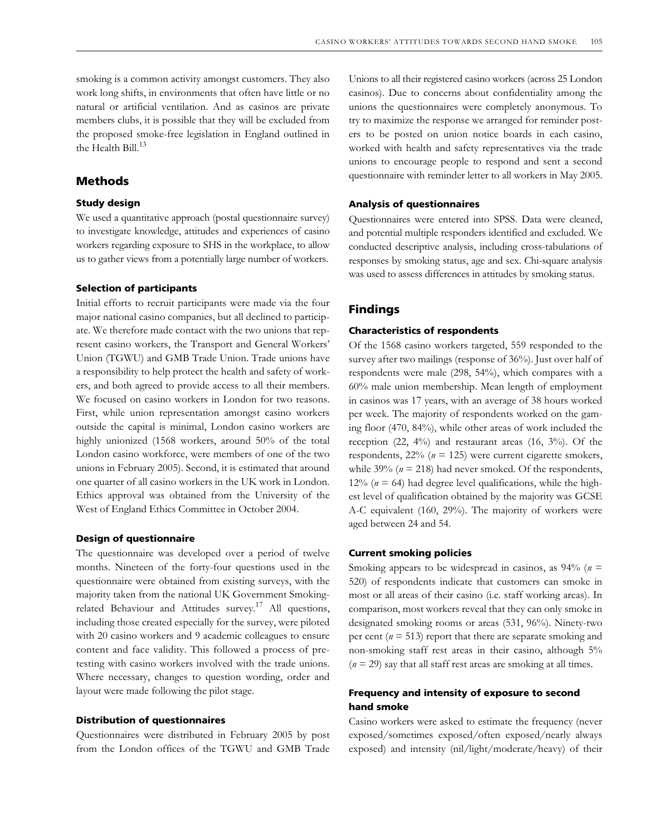smoking is a common activity amongst customers. They also work long shifts, in environments that often have little or no natural or artificial ventilation. And as casinos are private members clubs, it is possible that they will be excluded from the proposed smoke-free legislation in England outlined in the Health Bill. $^{13}$ 

#### **Methods**

#### **Study design**

We used a quantitative approach (postal questionnaire survey) to investigate knowledge, attitudes and experiences of casino workers regarding exposure to SHS in the workplace, to allow us to gather views from a potentially large number of workers.

#### **Selection of participants**

Initial efforts to recruit participants were made via the four major national casino companies, but all declined to participate. We therefore made contact with the two unions that represent casino workers, the Transport and General Workers' Union (TGWU) and GMB Trade Union. Trade unions have a responsibility to help protect the health and safety of workers, and both agreed to provide access to all their members. We focused on casino workers in London for two reasons. First, while union representation amongst casino workers outside the capital is minimal, London casino workers are highly unionized (1568 workers, around 50% of the total London casino workforce, were members of one of the two unions in February 2005). Second, it is estimated that around one quarter of all casino workers in the UK work in London. Ethics approval was obtained from the University of the West of England Ethics Committee in October 2004.

#### **Design of questionnaire**

The questionnaire was developed over a period of twelve months. Nineteen of the forty-four questions used in the questionnaire were obtained from existing surveys, with the majority taken from the national UK Government Smokingrelated Behaviour and Attitudes survey.<sup>17</sup> All questions, including those created especially for the survey, were piloted with 20 casino workers and 9 academic colleagues to ensure content and face validity. This followed a process of pretesting with casino workers involved with the trade unions. Where necessary, changes to question wording, order and layout were made following the pilot stage.

#### **Distribution of questionnaires**

Questionnaires were distributed in February 2005 by post from the London offices of the TGWU and GMB Trade

Unions to all their registered casino workers (across 25 London casinos). Due to concerns about confidentiality among the unions the questionnaires were completely anonymous. To try to maximize the response we arranged for reminder posters to be posted on union notice boards in each casino, worked with health and safety representatives via the trade unions to encourage people to respond and sent a second questionnaire with reminder letter to all workers in May 2005.

#### **Analysis of questionnaires**

Questionnaires were entered into SPSS. Data were cleaned, and potential multiple responders identified and excluded. We conducted descriptive analysis, including cross-tabulations of responses by smoking status, age and sex. Chi-square analysis was used to assess differences in attitudes by smoking status.

## **Findings**

#### **Characteristics of respondents**

Of the 1568 casino workers targeted, 559 responded to the survey after two mailings (response of 36%). Just over half of respondents were male (298, 54%), which compares with a 60% male union membership. Mean length of employment in casinos was 17 years, with an average of 38 hours worked per week. The majority of respondents worked on the gaming floor (470, 84%), while other areas of work included the reception (22, 4%) and restaurant areas (16, 3%). Of the respondents, 22% (*n* = 125) were current cigarette smokers, while  $39\%$  ( $n = 218$ ) had never smoked. Of the respondents, 12% ( $n = 64$ ) had degree level qualifications, while the highest level of qualification obtained by the majority was GCSE A-C equivalent (160, 29%). The majority of workers were aged between 24 and 54.

#### **Current smoking policies**

Smoking appears to be widespread in casinos, as 94% (*n* = 520) of respondents indicate that customers can smoke in most or all areas of their casino (i.e. staff working areas). In comparison, most workers reveal that they can only smoke in designated smoking rooms or areas (531, 96%). Ninety-two per cent (*n* = 513) report that there are separate smoking and non-smoking staff rest areas in their casino, although 5%  $(n = 29)$  say that all staff rest areas are smoking at all times.

## **Frequency and intensity of exposure to second hand smoke**

Casino workers were asked to estimate the frequency (never exposed/sometimes exposed/often exposed/nearly always exposed) and intensity (nil/light/moderate/heavy) of their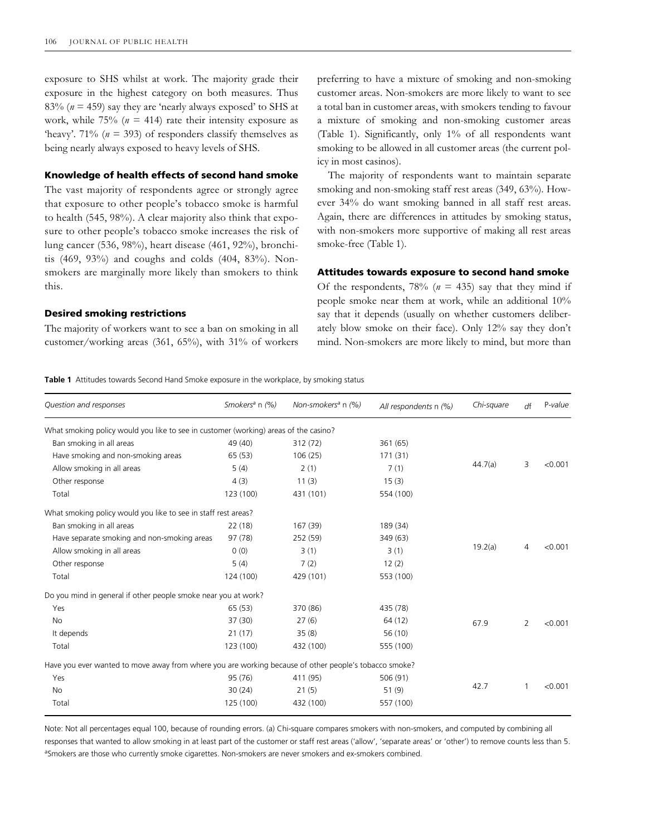exposure to SHS whilst at work. The majority grade their exposure in the highest category on both measures. Thus 83% ( $n = 459$ ) say they are 'nearly always exposed' to SHS at work, while  $75\%$  ( $n = 414$ ) rate their intensity exposure as 'heavy'. 71% ( $n = 393$ ) of responders classify themselves as being nearly always exposed to heavy levels of SHS.

## **Knowledge of health effects of second hand smoke**

The vast majority of respondents agree or strongly agree that exposure to other people's tobacco smoke is harmful to health (545, 98%). A clear majority also think that exposure to other people's tobacco smoke increases the risk of lung cancer (536, 98%), heart disease (461, 92%), bronchitis (469, 93%) and coughs and colds (404, 83%). Nonsmokers are marginally more likely than smokers to think this.

#### **Desired smoking restrictions**

The majority of workers want to see a ban on smoking in all customer/working areas (361, 65%), with 31% of workers preferring to have a mixture of smoking and non-smoking customer areas. Non-smokers are more likely to want to see a total ban in customer areas, with smokers tending to favour a mixture of smoking and non-smoking customer areas (Table 1). Significantly, only 1% of all respondents want smoking to be allowed in all customer areas (the current policy in most casinos).

The majority of respondents want to maintain separate smoking and non-smoking staff rest areas (349, 63%). However 34% do want smoking banned in all staff rest areas. Again, there are differences in attitudes by smoking status, with non-smokers more supportive of making all rest areas smoke-free (Table 1).

#### **Attitudes towards exposure to second hand smoke**

Of the respondents,  $78%$  ( $n = 435$ ) say that they mind if people smoke near them at work, while an additional 10% say that it depends (usually on whether customers deliberately blow smoke on their face). Only 12% say they don't mind. Non-smokers are more likely to mind, but more than

**Table 1** Attitudes towards Second Hand Smoke exposure in the workplace, by smoking status

| Question and responses                                                                                | Smokers <sup>a</sup> n (%) | Non-smokers <sup>a</sup> n (%) | All respondents n (%) | Chi-square | df             | P-value |
|-------------------------------------------------------------------------------------------------------|----------------------------|--------------------------------|-----------------------|------------|----------------|---------|
| What smoking policy would you like to see in customer (working) areas of the casino?                  |                            |                                |                       |            |                |         |
| Ban smoking in all areas                                                                              | 49 (40)                    | 312 (72)                       | 361 (65)              | 44.7(a)    | 3              | < 0.001 |
| Have smoking and non-smoking areas                                                                    | 65 (53)                    | 106(25)                        | 171(31)               |            |                |         |
| Allow smoking in all areas                                                                            | 5(4)                       | 2(1)                           | 7(1)                  |            |                |         |
| Other response                                                                                        | 4(3)                       | 11(3)                          | 15(3)                 |            |                |         |
| Total                                                                                                 | 123 (100)                  | 431 (101)                      | 554 (100)             |            |                |         |
| What smoking policy would you like to see in staff rest areas?                                        |                            |                                |                       |            |                |         |
| Ban smoking in all areas                                                                              | 22(18)                     | 167 (39)                       | 189 (34)              | 19.2(a)    | $\overline{4}$ | < 0.001 |
| Have separate smoking and non-smoking areas                                                           | 97 (78)                    | 252 (59)                       | 349 (63)              |            |                |         |
| Allow smoking in all areas                                                                            | 0(0)                       | 3(1)                           | 3(1)                  |            |                |         |
| Other response                                                                                        | 5(4)                       | 7(2)                           | 12(2)                 |            |                |         |
| Total                                                                                                 | 124 (100)                  | 429 (101)                      | 553 (100)             |            |                |         |
| Do you mind in general if other people smoke near you at work?                                        |                            |                                |                       |            |                |         |
| Yes                                                                                                   | 65(53)                     | 370 (86)                       | 435 (78)              | 67.9       | 2              | < 0.001 |
| <b>No</b>                                                                                             | 37 (30)                    | 27(6)                          | 64 (12)               |            |                |         |
| It depends                                                                                            | 21(17)                     | 35(8)                          | 56 (10)               |            |                |         |
| Total                                                                                                 | 123 (100)                  | 432 (100)                      | 555 (100)             |            |                |         |
| Have you ever wanted to move away from where you are working because of other people's tobacco smoke? |                            |                                |                       |            |                |         |
| Yes                                                                                                   | 95 (76)                    | 411 (95)                       | 506 (91)              | 42.7       | $\mathbf{1}$   | < 0.001 |
| <b>No</b>                                                                                             | 30(24)                     | 21(5)                          | 51(9)                 |            |                |         |
| Total                                                                                                 | 125 (100)                  | 432 (100)                      | 557 (100)             |            |                |         |

Note: Not all percentages equal 100, because of rounding errors. (a) Chi-square compares smokers with non-smokers, and computed by combining all responses that wanted to allow smoking in at least part of the customer or staff rest areas ('allow', 'separate areas' or 'other') to remove counts less than 5. aSmokers are those who currently smoke cigarettes. Non-smokers are never smokers and ex-smokers combined.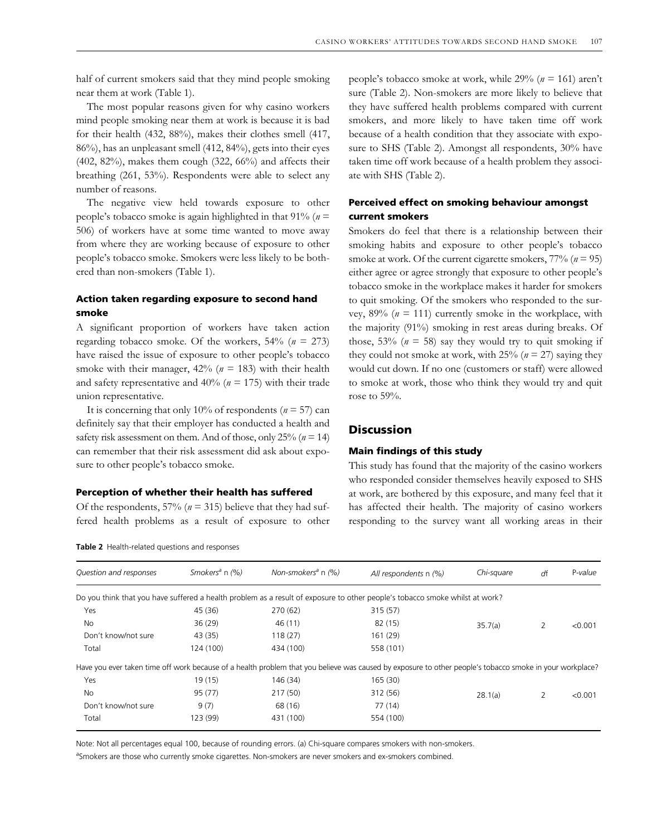half of current smokers said that they mind people smoking near them at work (Table 1).

The most popular reasons given for why casino workers mind people smoking near them at work is because it is bad for their health (432, 88%), makes their clothes smell (417, 86%), has an unpleasant smell (412, 84%), gets into their eyes (402, 82%), makes them cough (322, 66%) and affects their breathing (261, 53%). Respondents were able to select any number of reasons.

The negative view held towards exposure to other people's tobacco smoke is again highlighted in that 91% (*n* = 506) of workers have at some time wanted to move away from where they are working because of exposure to other people's tobacco smoke. Smokers were less likely to be bothered than non-smokers (Table 1).

## **Action taken regarding exposure to second hand smoke**

A significant proportion of workers have taken action regarding tobacco smoke. Of the workers, 54% (*n* = 273) have raised the issue of exposure to other people's tobacco smoke with their manager, 42% (*n* = 183) with their health and safety representative and 40% (*n* = 175) with their trade union representative.

It is concerning that only 10% of respondents ( $n = 57$ ) can definitely say that their employer has conducted a health and safety risk assessment on them. And of those, only 25% (*n* = 14) can remember that their risk assessment did ask about exposure to other people's tobacco smoke.

#### **Perception of whether their health has suffered**

Of the respondents,  $57\%$  ( $n = 315$ ) believe that they had suffered health problems as a result of exposure to other

**Table 2** Health-related questions and responses

people's tobacco smoke at work, while 29% (*n* = 161) aren't sure (Table 2). Non-smokers are more likely to believe that they have suffered health problems compared with current smokers, and more likely to have taken time off work because of a health condition that they associate with exposure to SHS (Table 2). Amongst all respondents, 30% have taken time off work because of a health problem they associate with SHS (Table 2).

## **Perceived effect on smoking behaviour amongst current smokers**

Smokers do feel that there is a relationship between their smoking habits and exposure to other people's tobacco smoke at work. Of the current cigarette smokers, 77% (*n* = 95) either agree or agree strongly that exposure to other people's tobacco smoke in the workplace makes it harder for smokers to quit smoking. Of the smokers who responded to the survey,  $89\%$  ( $n = 111$ ) currently smoke in the workplace, with the majority (91%) smoking in rest areas during breaks. Of those,  $53\%$  ( $n = 58$ ) say they would try to quit smoking if they could not smoke at work, with  $25\%$  ( $n = 27$ ) saying they would cut down. If no one (customers or staff) were allowed to smoke at work, those who think they would try and quit rose to  $59%$ .

## **Discussion**

## **Main findings of this study**

This study has found that the majority of the casino workers who responded consider themselves heavily exposed to SHS at work, are bothered by this exposure, and many feel that it has affected their health. The majority of casino workers responding to the survey want all working areas in their

| Question and responses | Smokers <sup>a</sup> n $(\%)$ | Non-smokers <sup>a</sup> n $(\%)$ | All respondents n (%)                                                                                                                                    | Chi-square | df             | P-value |
|------------------------|-------------------------------|-----------------------------------|----------------------------------------------------------------------------------------------------------------------------------------------------------|------------|----------------|---------|
|                        |                               |                                   | Do you think that you have suffered a health problem as a result of exposure to other people's tobacco smoke whilst at work?                             |            |                |         |
| Yes                    | 45 (36)                       | 270 (62)                          | 315 (57)                                                                                                                                                 |            |                |         |
| No.                    | 36(29)                        | 46 (11)                           | 82 (15)                                                                                                                                                  | 35.7(a)    | 2              | < 0.001 |
| Don't know/not sure    | 43 (35)                       | 118(27)                           | 161 (29)                                                                                                                                                 |            |                |         |
| Total                  | 124 (100)                     | 434 (100)                         | 558 (101)                                                                                                                                                |            |                |         |
|                        |                               |                                   | Have you ever taken time off work because of a health problem that you believe was caused by exposure to other people's tobacco smoke in your workplace? |            |                |         |
| Yes                    | 19(15)                        | 146 (34)                          | 165 (30)                                                                                                                                                 |            | $\overline{2}$ |         |
| <b>No</b>              | 95 (77)                       | 217 (50)                          | 312 (56)                                                                                                                                                 | 28.1(a)    |                | < 0.001 |
| Don't know/not sure    | 9(7)                          | 68 (16)                           | 77 (14)                                                                                                                                                  |            |                |         |
| Total                  | 123 (99)                      | 431 (100)                         | 554 (100)                                                                                                                                                |            |                |         |
|                        |                               |                                   |                                                                                                                                                          |            |                |         |

Note: Not all percentages equal 100, because of rounding errors. (a) Chi-square compares smokers with non-smokers.

aSmokers are those who currently smoke cigarettes. Non-smokers are never smokers and ex-smokers combined.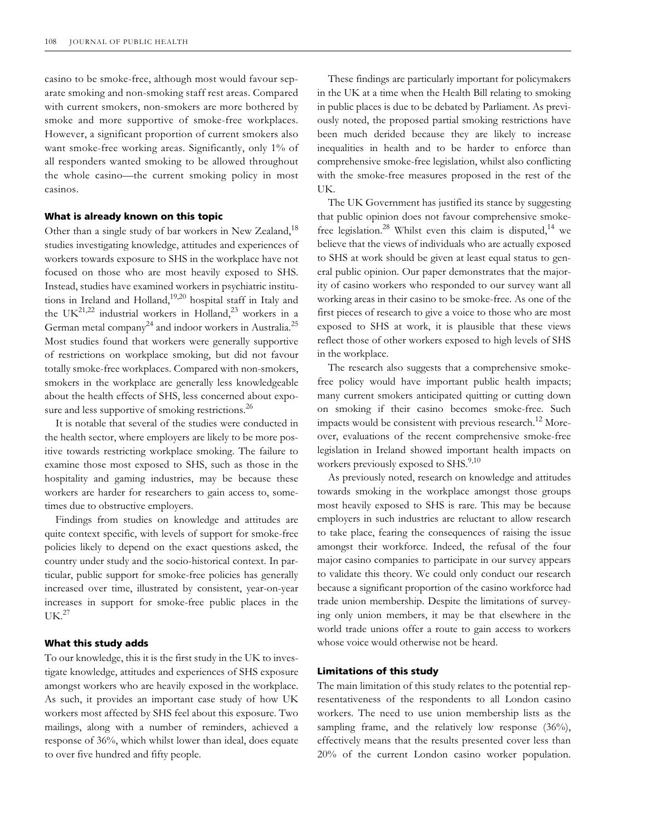casino to be smoke-free, although most would favour separate smoking and non-smoking staff rest areas. Compared with current smokers, non-smokers are more bothered by smoke and more supportive of smoke-free workplaces. However, a significant proportion of current smokers also want smoke-free working areas. Significantly, only 1% of all responders wanted smoking to be allowed throughout the whole casino—the current smoking policy in most casinos.

#### **What is already known on this topic**

Other than a single study of bar workers in New Zealand,<sup>18</sup> studies investigating knowledge, attitudes and experiences of workers towards exposure to SHS in the workplace have not focused on those who are most heavily exposed to SHS. Instead, studies have examined workers in psychiatric institutions in Ireland and Holland, $19,20$  hospital staff in Italy and the UK<sup>21,22</sup> industrial workers in Holland,<sup>23</sup> workers in a German metal company<sup>24</sup> and indoor workers in Australia.<sup>25</sup> Most studies found that workers were generally supportive of restrictions on workplace smoking, but did not favour totally smoke-free workplaces. Compared with non-smokers, smokers in the workplace are generally less knowledgeable about the health effects of SHS, less concerned about exposure and less supportive of smoking restrictions.<sup>26</sup>

It is notable that several of the studies were conducted in the health sector, where employers are likely to be more positive towards restricting workplace smoking. The failure to examine those most exposed to SHS, such as those in the hospitality and gaming industries, may be because these workers are harder for researchers to gain access to, sometimes due to obstructive employers.

Findings from studies on knowledge and attitudes are quite context specific, with levels of support for smoke-free policies likely to depend on the exact questions asked, the country under study and the socio-historical context. In particular, public support for smoke-free policies has generally increased over time, illustrated by consistent, year-on-year increases in support for smoke-free public places in the  $I$ IK. $^{27}$ 

#### **What this study adds**

To our knowledge, this it is the first study in the UK to investigate knowledge, attitudes and experiences of SHS exposure amongst workers who are heavily exposed in the workplace. As such, it provides an important case study of how UK workers most affected by SHS feel about this exposure. Two mailings, along with a number of reminders, achieved a response of 36%, which whilst lower than ideal, does equate to over five hundred and fifty people.

These findings are particularly important for policymakers in the UK at a time when the Health Bill relating to smoking in public places is due to be debated by Parliament. As previously noted, the proposed partial smoking restrictions have been much derided because they are likely to increase inequalities in health and to be harder to enforce than comprehensive smoke-free legislation, whilst also conflicting with the smoke-free measures proposed in the rest of the UK.

The UK Government has justified its stance by suggesting that public opinion does not favour comprehensive smokefree legislation.<sup>28</sup> Whilst even this claim is disputed,<sup>14</sup> we believe that the views of individuals who are actually exposed to SHS at work should be given at least equal status to general public opinion. Our paper demonstrates that the majority of casino workers who responded to our survey want all working areas in their casino to be smoke-free. As one of the first pieces of research to give a voice to those who are most exposed to SHS at work, it is plausible that these views reflect those of other workers exposed to high levels of SHS in the workplace.

The research also suggests that a comprehensive smokefree policy would have important public health impacts; many current smokers anticipated quitting or cutting down on smoking if their casino becomes smoke-free. Such impacts would be consistent with previous research.<sup>12</sup> Moreover, evaluations of the recent comprehensive smoke-free legislation in Ireland showed important health impacts on workers previously exposed to SHS.<sup>9,10</sup>

As previously noted, research on knowledge and attitudes towards smoking in the workplace amongst those groups most heavily exposed to SHS is rare. This may be because employers in such industries are reluctant to allow research to take place, fearing the consequences of raising the issue amongst their workforce. Indeed, the refusal of the four major casino companies to participate in our survey appears to validate this theory. We could only conduct our research because a significant proportion of the casino workforce had trade union membership. Despite the limitations of surveying only union members, it may be that elsewhere in the world trade unions offer a route to gain access to workers whose voice would otherwise not be heard.

#### **Limitations of this study**

The main limitation of this study relates to the potential representativeness of the respondents to all London casino workers. The need to use union membership lists as the sampling frame, and the relatively low response (36%), effectively means that the results presented cover less than 20% of the current London casino worker population.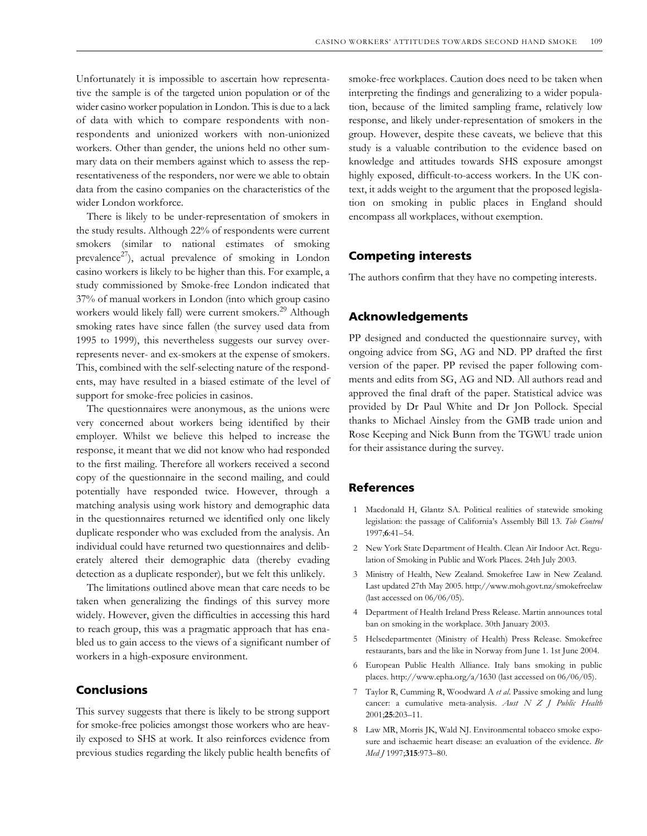Unfortunately it is impossible to ascertain how representative the sample is of the targeted union population or of the wider casino worker population in London. This is due to a lack of data with which to compare respondents with nonrespondents and unionized workers with non-unionized workers. Other than gender, the unions held no other summary data on their members against which to assess the representativeness of the responders, nor were we able to obtain data from the casino companies on the characteristics of the wider London workforce.

There is likely to be under-representation of smokers in the study results. Although 22% of respondents were current smokers (similar to national estimates of smoking prevalence<sup>27</sup>), actual prevalence of smoking in London casino workers is likely to be higher than this. For example, a study commissioned by Smoke-free London indicated that 37% of manual workers in London (into which group casino workers would likely fall) were current smokers.<sup>29</sup> Although smoking rates have since fallen (the survey used data from 1995 to 1999), this nevertheless suggests our survey overrepresents never- and ex-smokers at the expense of smokers. This, combined with the self-selecting nature of the respondents, may have resulted in a biased estimate of the level of support for smoke-free policies in casinos.

The questionnaires were anonymous, as the unions were very concerned about workers being identified by their employer. Whilst we believe this helped to increase the response, it meant that we did not know who had responded to the first mailing. Therefore all workers received a second copy of the questionnaire in the second mailing, and could potentially have responded twice. However, through a matching analysis using work history and demographic data in the questionnaires returned we identified only one likely duplicate responder who was excluded from the analysis. An individual could have returned two questionnaires and deliberately altered their demographic data (thereby evading detection as a duplicate responder), but we felt this unlikely.

The limitations outlined above mean that care needs to be taken when generalizing the findings of this survey more widely. However, given the difficulties in accessing this hard to reach group, this was a pragmatic approach that has enabled us to gain access to the views of a significant number of workers in a high-exposure environment.

## **Conclusions**

This survey suggests that there is likely to be strong support for smoke-free policies amongst those workers who are heavily exposed to SHS at work. It also reinforces evidence from previous studies regarding the likely public health benefits of

smoke-free workplaces. Caution does need to be taken when interpreting the findings and generalizing to a wider population, because of the limited sampling frame, relatively low response, and likely under-representation of smokers in the group. However, despite these caveats, we believe that this study is a valuable contribution to the evidence based on knowledge and attitudes towards SHS exposure amongst highly exposed, difficult-to-access workers. In the UK context, it adds weight to the argument that the proposed legislation on smoking in public places in England should encompass all workplaces, without exemption.

## **Competing interests**

The authors confirm that they have no competing interests.

## **Acknowledgements**

PP designed and conducted the questionnaire survey, with ongoing advice from SG, AG and ND. PP drafted the first version of the paper. PP revised the paper following comments and edits from SG, AG and ND. All authors read and approved the final draft of the paper. Statistical advice was provided by Dr Paul White and Dr Jon Pollock. Special thanks to Michael Ainsley from the GMB trade union and Rose Keeping and Nick Bunn from the TGWU trade union for their assistance during the survey.

## **References**

- 1 Macdonald H, Glantz SA. Political realities of statewide smoking legislation: the passage of California's Assembly Bill 13. *Tob Control* 1997;**6**:41–54.
- 2 New York State Department of Health. Clean Air Indoor Act. Regulation of Smoking in Public and Work Places. 24th July 2003.
- 3 Ministry of Health, New Zealand. Smokefree Law in New Zealand. Last updated 27th May 2005.<http://www.moh.govt.nz/smokefreelaw> (last accessed on 06/06/05).
- 4 Department of Health Ireland Press Release. Martin announces total ban on smoking in the workplace. 30th January 2003.
- 5 Helsedepartmentet (Ministry of Health) Press Release. Smokefree restaurants, bars and the like in Norway from June 1. 1st June 2004.
- 6 European Public Health Alliance. Italy bans smoking in public places. [http://www.epha.org/a/1630 \(la](http://www.epha.org/a/1630)st accessed on 06/06/05).
- 7 Taylor R, Cumming R, Woodward A *et al*. Passive smoking and lung cancer: a cumulative meta-analysis. *Aust N Z J Public Health* 2001;**25**:203–11.
- 8 Law MR, Morris JK, Wald NJ. Environmental tobacco smoke exposure and ischaemic heart disease: an evaluation of the evidence. *Br Med J* 1997;**315**:973–80.